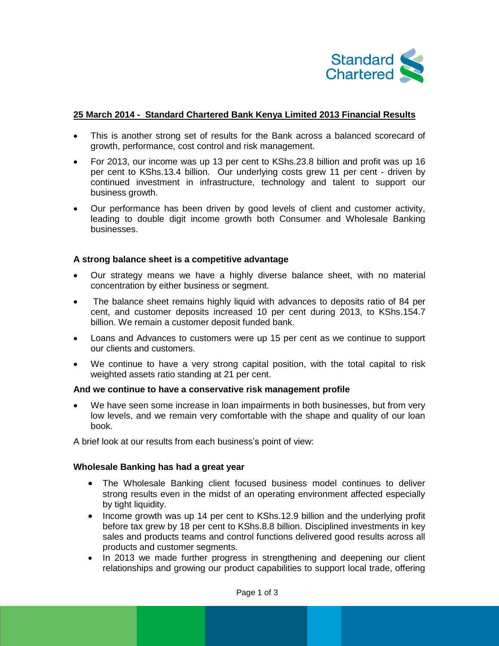

### **25 March 2014 - Standard Chartered Bank Kenya Limited 2013 Financial Results**

- This is another strong set of results for the Bank across a balanced scorecard of growth, performance, cost control and risk management.
- For 2013, our income was up 13 per cent to KShs.23.8 billion and profit was up 16 per cent to KShs.13.4 billion. Our underlying costs grew 11 per cent - driven by continued investment in infrastructure, technology and talent to support our business growth.
- Our performance has been driven by good levels of client and customer activity, leading to double digit income growth both Consumer and Wholesale Banking businesses.

### **A strong balance sheet is a competitive advantage**

- Our strategy means we have a highly diverse balance sheet, with no material concentration by either business or segment.
- The balance sheet remains highly liquid with advances to deposits ratio of 84 per cent, and customer deposits increased 10 per cent during 2013, to KShs.154.7 billion. We remain a customer deposit funded bank.
- Loans and Advances to customers were up 15 per cent as we continue to support our clients and customers.
- We continue to have a very strong capital position, with the total capital to risk weighted assets ratio standing at 21 per cent.

#### **And we continue to have a conservative risk management profile**

 We have seen some increase in loan impairments in both businesses, but from very low levels, and we remain very comfortable with the shape and quality of our loan book.

A brief look at our results from each business's point of view:

#### **Wholesale Banking has had a great year**

- The Wholesale Banking client focused business model continues to deliver strong results even in the midst of an operating environment affected especially by tight liquidity.
- Income growth was up 14 per cent to KShs.12.9 billion and the underlying profit before tax grew by 18 per cent to KShs.8.8 billion. Disciplined investments in key sales and products teams and control functions delivered good results across all products and customer segments.
- In 2013 we made further progress in strengthening and deepening our client relationships and growing our product capabilities to support local trade, offering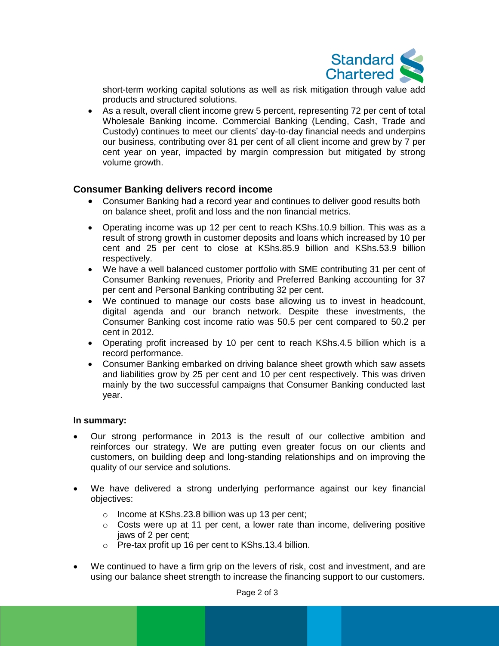

short-term working capital solutions as well as risk mitigation through value add products and structured solutions.

 As a result, overall client income grew 5 percent, representing 72 per cent of total Wholesale Banking income. Commercial Banking (Lending, Cash, Trade and Custody) continues to meet our clients' day-to-day financial needs and underpins our business, contributing over 81 per cent of all client income and grew by 7 per cent year on year, impacted by margin compression but mitigated by strong volume growth.

# **Consumer Banking delivers record income**

- Consumer Banking had a record year and continues to deliver good results both on balance sheet, profit and loss and the non financial metrics.
- Operating income was up 12 per cent to reach KShs.10.9 billion. This was as a result of strong growth in customer deposits and loans which increased by 10 per cent and 25 per cent to close at KShs.85.9 billion and KShs.53.9 billion respectively.
- We have a well balanced customer portfolio with SME contributing 31 per cent of Consumer Banking revenues, Priority and Preferred Banking accounting for 37 per cent and Personal Banking contributing 32 per cent.
- We continued to manage our costs base allowing us to invest in headcount, digital agenda and our branch network. Despite these investments, the Consumer Banking cost income ratio was 50.5 per cent compared to 50.2 per cent in 2012.
- Operating profit increased by 10 per cent to reach KShs.4.5 billion which is a record performance.
- Consumer Banking embarked on driving balance sheet growth which saw assets and liabilities grow by 25 per cent and 10 per cent respectively. This was driven mainly by the two successful campaigns that Consumer Banking conducted last year.

# **In summary:**

- Our strong performance in 2013 is the result of our collective ambition and reinforces our strategy. We are putting even greater focus on our clients and customers, on building deep and long-standing relationships and on improving the quality of our service and solutions.
- We have delivered a strong underlying performance against our key financial objectives:
	- o Income at KShs.23.8 billion was up 13 per cent;
	- o Costs were up at 11 per cent, a lower rate than income, delivering positive jaws of 2 per cent;
	- o Pre-tax profit up 16 per cent to KShs.13.4 billion.
- We continued to have a firm grip on the levers of risk, cost and investment, and are using our balance sheet strength to increase the financing support to our customers.